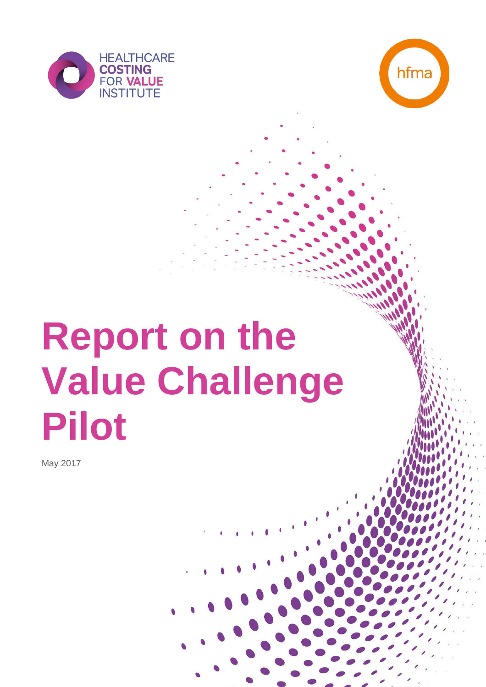



# **Report on the Value Challenge Pilot**

May 2017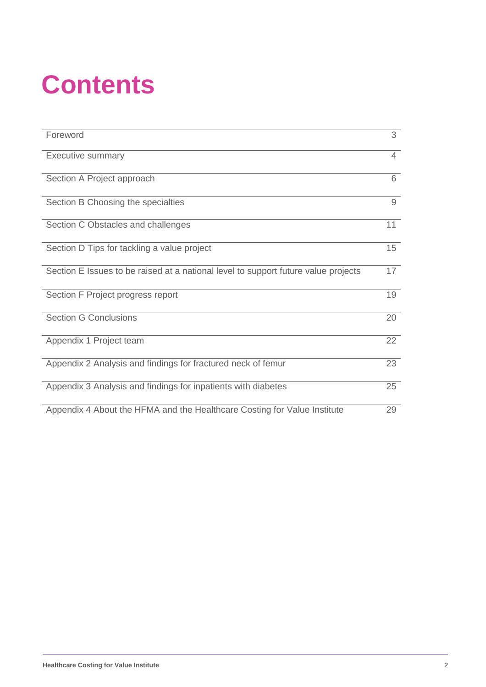# **Contents**

| Foreword                                                                           | 3  |
|------------------------------------------------------------------------------------|----|
| <b>Executive summary</b>                                                           | 4  |
| Section A Project approach                                                         | 6  |
| Section B Choosing the specialties                                                 | 9  |
| Section C Obstacles and challenges                                                 | 11 |
| Section D Tips for tackling a value project                                        | 15 |
| Section E Issues to be raised at a national level to support future value projects | 17 |
| Section F Project progress report                                                  | 19 |
| <b>Section G Conclusions</b>                                                       | 20 |
| Appendix 1 Project team                                                            | 22 |
| Appendix 2 Analysis and findings for fractured neck of femur                       | 23 |
| Appendix 3 Analysis and findings for inpatients with diabetes                      | 25 |
| Appendix 4 About the HFMA and the Healthcare Costing for Value Institute           | 29 |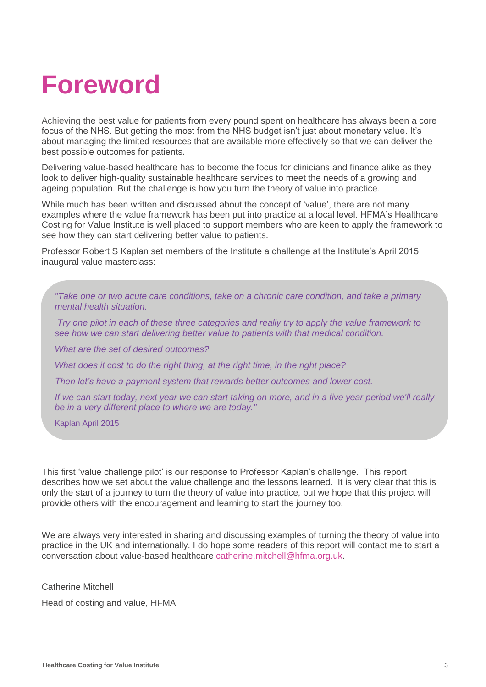# **Foreword**

Achieving the best value for patients from every pound spent on healthcare has always been a core focus of the NHS. But getting the most from the NHS budget isn't just about monetary value. It's about managing the limited resources that are available more effectively so that we can deliver the best possible outcomes for patients.

Delivering value-based healthcare has to become the focus for clinicians and finance alike as they look to deliver high-quality sustainable healthcare services to meet the needs of a growing and ageing population. But the challenge is how you turn the theory of value into practice.

While much has been written and discussed about the concept of 'value', there are not many examples where the value framework has been put into practice at a local level. HFMA's Healthcare Costing for Value Institute is well placed to support members who are keen to apply the framework to see how they can start delivering better value to patients.

Professor Robert S Kaplan set members of the Institute a challenge at the Institute's April 2015 inaugural value masterclass:

*"Take one or two acute care conditions, take on a chronic care condition, and take a primary mental health situation.*

*Try one pilot in each of these three categories and really try to apply the value framework to see how we can start delivering better value to patients with that medical condition.*

*What are the set of desired outcomes?*

*What does it cost to do the right thing, at the right time, in the right place?*

*Then let's have a payment system that rewards better outcomes and lower cost.*

*If we can start today, next year we can start taking on more, and in a five year period we'll really be in a very different place to where we are today."*

Kaplan April 2015

This first 'value challenge pilot' is our response to Professor Kaplan's challenge. This report describes how we set about the value challenge and the lessons learned. It is very clear that this is only the start of a journey to turn the theory of value into practice, but we hope that this project will provide others with the encouragement and learning to start the journey too.

We are always very interested in sharing and discussing examples of turning the theory of value into practice in the UK and internationally. I do hope some readers of this report will contact me to start a conversation about value-based healthcare [catherine.mitchell@hfma.org.uk.](mailto:catherine.mitchell@hfma.org.uk)

Catherine Mitchell

Head of costing and value, HFMA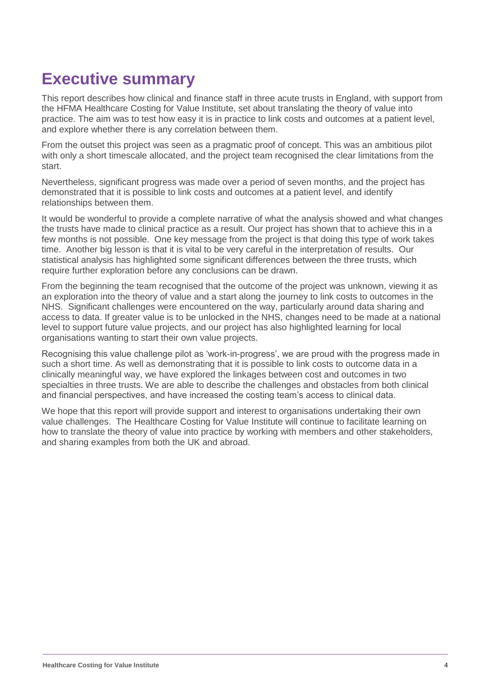### **Executive summary**

This report describes how clinical and finance staff in three acute trusts in England, with support from the HFMA Healthcare Costing for Value Institute, set about translating the theory of value into practice. The aim was to test how easy it is in practice to link costs and outcomes at a patient level, and explore whether there is any correlation between them.

From the outset this project was seen as a pragmatic proof of concept. This was an ambitious pilot with only a short timescale allocated, and the project team recognised the clear limitations from the start.

Nevertheless, significant progress was made over a period of seven months, and the project has demonstrated that it is possible to link costs and outcomes at a patient level, and identify relationships between them.

It would be wonderful to provide a complete narrative of what the analysis showed and what changes the trusts have made to clinical practice as a result. Our project has shown that to achieve this in a few months is not possible. One key message from the project is that doing this type of work takes time. Another big lesson is that it is vital to be very careful in the interpretation of results. Our statistical analysis has highlighted some significant differences between the three trusts, which require further exploration before any conclusions can be drawn.

From the beginning the team recognised that the outcome of the project was unknown, viewing it as an exploration into the theory of value and a start along the journey to link costs to outcomes in the NHS. Significant challenges were encountered on the way, particularly around data sharing and access to data. If greater value is to be unlocked in the NHS, changes need to be made at a national level to support future value projects, and our project has also highlighted learning for local organisations wanting to start their own value projects.

Recognising this value challenge pilot as 'work-in-progress', we are proud with the progress made in such a short time. As well as demonstrating that it is possible to link costs to outcome data in a clinically meaningful way, we have explored the linkages between cost and outcomes in two specialties in three trusts. We are able to describe the challenges and obstacles from both clinical and financial perspectives, and have increased the costing team's access to clinical data.

We hope that this report will provide support and interest to organisations undertaking their own value challenges. The Healthcare Costing for Value Institute will continue to facilitate learning on how to translate the theory of value into practice by working with members and other stakeholders, and sharing examples from both the UK and abroad.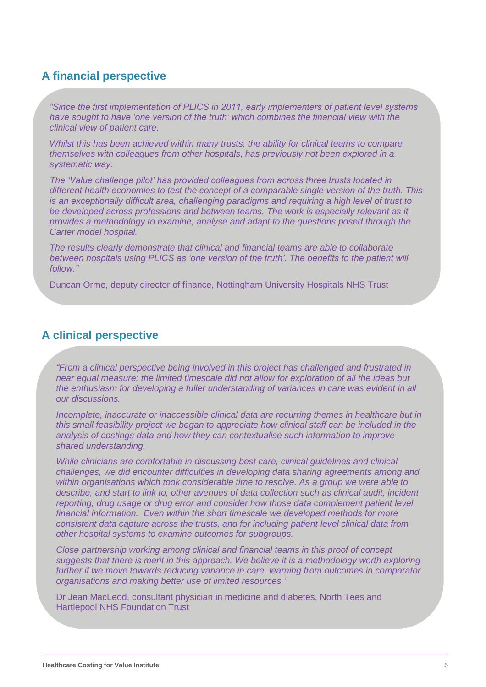#### **A financial perspective**

*"Since the first implementation of PLICS in 2011, early implementers of patient level systems have sought to have 'one version of the truth' which combines the financial view with the clinical view of patient care.* 

*Whilst this has been achieved within many trusts, the ability for clinical teams to compare themselves with colleagues from other hospitals, has previously not been explored in a systematic way.*

*The 'Value challenge pilot' has provided colleagues from across three trusts located in different health economies to test the concept of a comparable single version of the truth. This is an exceptionally difficult area, challenging paradigms and requiring a high level of trust to be developed across professions and between teams. The work is especially relevant as it provides a methodology to examine, analyse and adapt to the questions posed through the Carter model hospital.*

*The results clearly demonstrate that clinical and financial teams are able to collaborate*  between hospitals using PLICS as 'one version of the truth'. The benefits to the patient will *follow."*

Duncan Orme, deputy director of finance, Nottingham University Hospitals NHS Trust

#### **A clinical perspective**

*"From a clinical perspective being involved in this project has challenged and frustrated in near equal measure: the limited timescale did not allow for exploration of all the ideas but the enthusiasm for developing a fuller understanding of variances in care was evident in all our discussions.* 

*Incomplete, inaccurate or inaccessible clinical data are recurring themes in healthcare but in this small feasibility project we began to appreciate how clinical staff can be included in the analysis of costings data and how they can contextualise such information to improve shared understanding.* 

*While clinicians are comfortable in discussing best care, clinical guidelines and clinical challenges, we did encounter difficulties in developing data sharing agreements among and within organisations which took considerable time to resolve. As a group we were able to describe, and start to link to, other avenues of data collection such as clinical audit, incident reporting, drug usage or drug error and consider how those data complement patient level financial information. Even within the short timescale we developed methods for more consistent data capture across the trusts, and for including patient level clinical data from other hospital systems to examine outcomes for subgroups.* 

*Close partnership working among clinical and financial teams in this proof of concept suggests that there is merit in this approach. We believe it is a methodology worth exploring*  further if we move towards reducing variance in care, learning from outcomes in comparator *organisations and making better use of limited resources."*

Dr Jean MacLeod, consultant physician in medicine and diabetes, North Tees and Hartlepool NHS Foundation Trust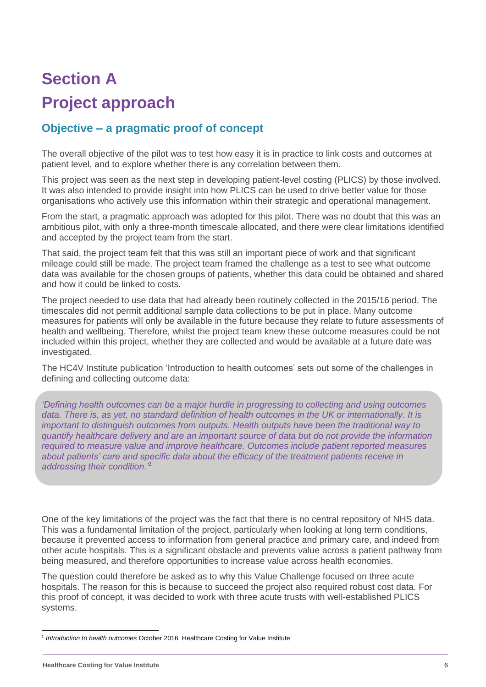## **Section A Project approach**

#### **Objective – a pragmatic proof of concept**

The overall objective of the pilot was to test how easy it is in practice to link costs and outcomes at patient level, and to explore whether there is any correlation between them.

This project was seen as the next step in developing patient-level costing (PLICS) by those involved. It was also intended to provide insight into how PLICS can be used to drive better value for those organisations who actively use this information within their strategic and operational management.

From the start, a pragmatic approach was adopted for this pilot. There was no doubt that this was an ambitious pilot, with only a three-month timescale allocated, and there were clear limitations identified and accepted by the project team from the start.

That said, the project team felt that this was still an important piece of work and that significant mileage could still be made. The project team framed the challenge as a test to see what outcome data was available for the chosen groups of patients, whether this data could be obtained and shared and how it could be linked to costs.

The project needed to use data that had already been routinely collected in the 2015/16 period. The timescales did not permit additional sample data collections to be put in place. Many outcome measures for patients will only be available in the future because they relate to future assessments of health and wellbeing. Therefore, whilst the project team knew these outcome measures could be not included within this project, whether they are collected and would be available at a future date was investigated.

The HC4V Institute publication 'Introduction to health outcomes' sets out some of the challenges in defining and collecting outcome data:

*'Defining health outcomes can be a major hurdle in progressing to collecting and using outcomes data. There is, as yet, no standard definition of health outcomes in the UK or internationally. It is important to distinguish outcomes from outputs. Health outputs have been the traditional way to quantify healthcare delivery and are an important source of data but do not provide the information required to measure value and improve healthcare. Outcomes include patient reported measures about patients' care and specific data about the efficacy of the treatment patients receive in addressing their condition.'<sup>1</sup>*

One of the key limitations of the project was the fact that there is no central repository of NHS data. This was a fundamental limitation of the project, particularly when looking at long term conditions, because it prevented access to information from general practice and primary care, and indeed from other acute hospitals. This is a significant obstacle and prevents value across a patient pathway from being measured, and therefore opportunities to increase value across health economies.

The question could therefore be asked as to why this Value Challenge focused on three acute hospitals. The reason for this is because to succeed the project also required robust cost data. For this proof of concept, it was decided to work with three acute trusts with well-established PLICS systems.

 <sup>1</sup> Introduction to health outcomes October 2016 Healthcare Costing for Value Institute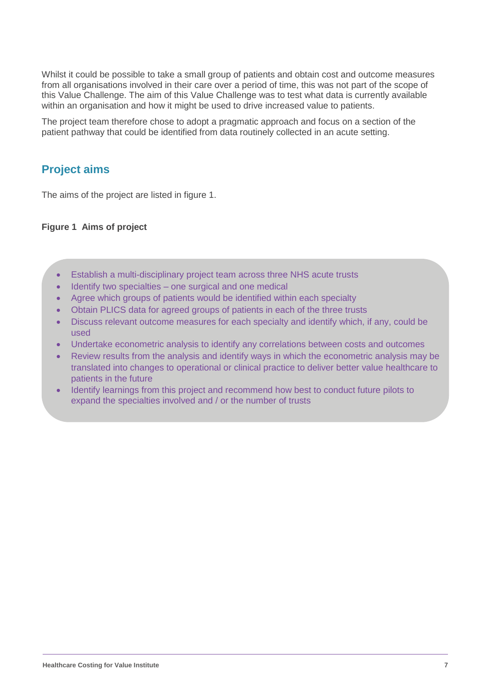Whilst it could be possible to take a small group of patients and obtain cost and outcome measures from all organisations involved in their care over a period of time, this was not part of the scope of this Value Challenge. The aim of this Value Challenge was to test what data is currently available within an organisation and how it might be used to drive increased value to patients.

The project team therefore chose to adopt a pragmatic approach and focus on a section of the patient pathway that could be identified from data routinely collected in an acute setting.

#### **Project aims**

The aims of the project are listed in figure 1.

#### **Figure 1 Aims of project**

- Establish a multi-disciplinary project team across three NHS acute trusts
- Identify two specialties one surgical and one medical
- Agree which groups of patients would be identified within each specialty
- Obtain PLICS data for agreed groups of patients in each of the three trusts
- Discuss relevant outcome measures for each specialty and identify which, if any, could be used
- Undertake econometric analysis to identify any correlations between costs and outcomes
- Review results from the analysis and identify ways in which the econometric analysis may be translated into changes to operational or clinical practice to deliver better value healthcare to patients in the future
- Identify learnings from this project and recommend how best to conduct future pilots to expand the specialties involved and / or the number of trusts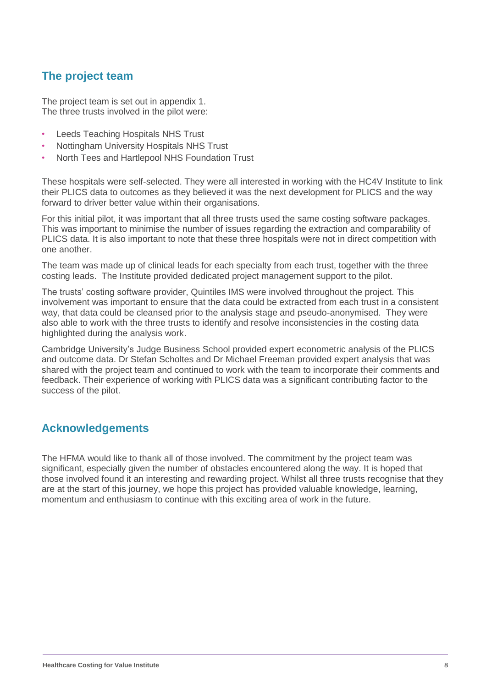#### **The project team**

The project team is set out in appendix 1. The three trusts involved in the pilot were:

- Leeds Teaching Hospitals NHS Trust
- Nottingham University Hospitals NHS Trust
- North Tees and Hartlepool NHS Foundation Trust

These hospitals were self-selected. They were all interested in working with the HC4V Institute to link their PLICS data to outcomes as they believed it was the next development for PLICS and the way forward to driver better value within their organisations.

For this initial pilot, it was important that all three trusts used the same costing software packages. This was important to minimise the number of issues regarding the extraction and comparability of PLICS data. It is also important to note that these three hospitals were not in direct competition with one another.

The team was made up of clinical leads for each specialty from each trust, together with the three costing leads. The Institute provided dedicated project management support to the pilot.

The trusts' costing software provider, Quintiles IMS were involved throughout the project. This involvement was important to ensure that the data could be extracted from each trust in a consistent way, that data could be cleansed prior to the analysis stage and pseudo-anonymised. They were also able to work with the three trusts to identify and resolve inconsistencies in the costing data highlighted during the analysis work.

Cambridge University's Judge Business School provided expert econometric analysis of the PLICS and outcome data. Dr Stefan Scholtes and Dr Michael Freeman provided expert analysis that was shared with the project team and continued to work with the team to incorporate their comments and feedback. Their experience of working with PLICS data was a significant contributing factor to the success of the pilot.

#### **Acknowledgements**

The HFMA would like to thank all of those involved. The commitment by the project team was significant, especially given the number of obstacles encountered along the way. It is hoped that those involved found it an interesting and rewarding project. Whilst all three trusts recognise that they are at the start of this journey, we hope this project has provided valuable knowledge, learning, momentum and enthusiasm to continue with this exciting area of work in the future.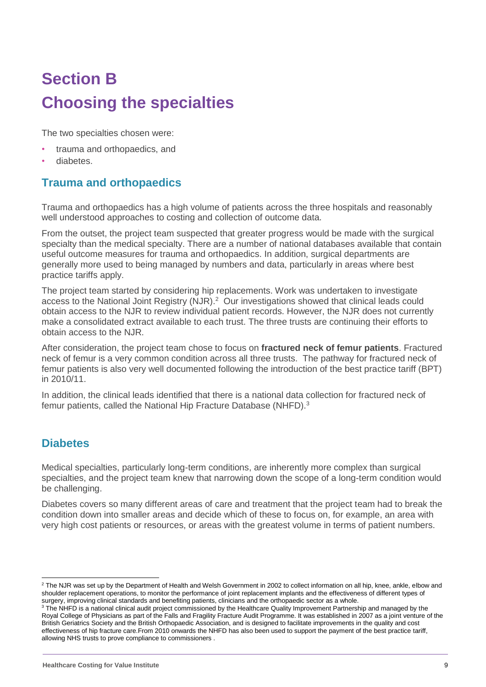# **Section B Choosing the specialties**

The two specialties chosen were:

- trauma and orthopaedics, and
- diabetes.

#### **Trauma and orthopaedics**

Trauma and orthopaedics has a high volume of patients across the three hospitals and reasonably well understood approaches to costing and collection of outcome data.

From the outset, the project team suspected that greater progress would be made with the surgical specialty than the medical specialty. There are a number of national databases available that contain useful outcome measures for trauma and orthopaedics. In addition, surgical departments are generally more used to being managed by numbers and data, particularly in areas where best practice tariffs apply.

The project team started by considering hip replacements. Work was undertaken to investigate access to the National Joint Registry (NJR).<sup>2</sup> Our investigations showed that clinical leads could obtain access to the NJR to review individual patient records. However, the NJR does not currently make a consolidated extract available to each trust. The three trusts are continuing their efforts to obtain access to the NJR.

After consideration, the project team chose to focus on **fractured neck of femur patients**. Fractured neck of femur is a very common condition across all three trusts. The pathway for fractured neck of femur patients is also very well documented following the introduction of the best practice tariff (BPT) in 2010/11.

In addition, the clinical leads identified that there is a national data collection for fractured neck of femur patients, called the National Hip Fracture Database (NHFD).<sup>3</sup>

#### **Diabetes**

Medical specialties, particularly long-term conditions, are inherently more complex than surgical specialties, and the project team knew that narrowing down the scope of a long-term condition would be challenging.

Diabetes covers so many different areas of care and treatment that the project team had to break the condition down into smaller areas and decide which of these to focus on, for example, an area with very high cost patients or resources, or areas with the greatest volume in terms of patient numbers.

 $\overline{a}$ <sup>2</sup> The NJR was set up by the Department of Health and Welsh Government in 2002 to collect information on all hip, knee, ankle, elbow and shoulder replacement operations, to monitor the performance of joint replacement implants and the effectiveness of different types of surgery, improving clinical standards and benefiting patients, clinicians and the orthopaedic sector as a whole.

<sup>&</sup>lt;sup>3</sup> The NHFD is a national clinical audit project commissioned by the Healthcare Quality Improvement Partnership and managed by the Royal College of Physicians as part of the Falls and Fragility Fracture Audit Programme. It was established in 2007 as a joint venture of the British Geriatrics Society and the British Orthopaedic Association, and is designed to facilitate improvements in the quality and cost effectiveness of hip fracture care.From 2010 onwards the NHFD has also been used to support the payment of the best practice tariff, allowing NHS trusts to prove compliance to commissioners .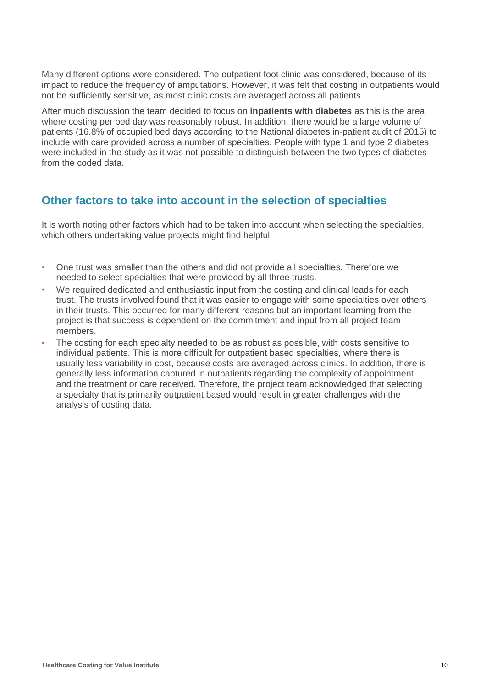Many different options were considered. The outpatient foot clinic was considered, because of its impact to reduce the frequency of amputations. However, it was felt that costing in outpatients would not be sufficiently sensitive, as most clinic costs are averaged across all patients.

After much discussion the team decided to focus on **inpatients with diabetes** as this is the area where costing per bed day was reasonably robust. In addition, there would be a large volume of patients (16.8% of occupied bed days according to the National diabetes in-patient audit of 2015) to include with care provided across a number of specialties. People with type 1 and type 2 diabetes were included in the study as it was not possible to distinguish between the two types of diabetes from the coded data.

#### **Other factors to take into account in the selection of specialties**

It is worth noting other factors which had to be taken into account when selecting the specialties, which others undertaking value projects might find helpful:

- One trust was smaller than the others and did not provide all specialties. Therefore we needed to select specialties that were provided by all three trusts.
- We required dedicated and enthusiastic input from the costing and clinical leads for each trust. The trusts involved found that it was easier to engage with some specialties over others in their trusts. This occurred for many different reasons but an important learning from the project is that success is dependent on the commitment and input from all project team members.
- The costing for each specialty needed to be as robust as possible, with costs sensitive to individual patients. This is more difficult for outpatient based specialties, where there is usually less variability in cost, because costs are averaged across clinics. In addition, there is generally less information captured in outpatients regarding the complexity of appointment and the treatment or care received. Therefore, the project team acknowledged that selecting a specialty that is primarily outpatient based would result in greater challenges with the analysis of costing data.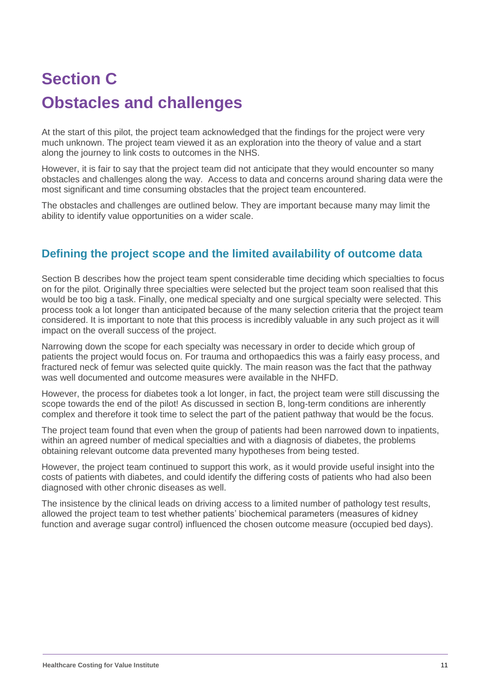# **Section C Obstacles and challenges**

At the start of this pilot, the project team acknowledged that the findings for the project were very much unknown. The project team viewed it as an exploration into the theory of value and a start along the journey to link costs to outcomes in the NHS.

However, it is fair to say that the project team did not anticipate that they would encounter so many obstacles and challenges along the way. Access to data and concerns around sharing data were the most significant and time consuming obstacles that the project team encountered.

The obstacles and challenges are outlined below. They are important because many may limit the ability to identify value opportunities on a wider scale.

#### **Defining the project scope and the limited availability of outcome data**

Section B describes how the project team spent considerable time deciding which specialties to focus on for the pilot. Originally three specialties were selected but the project team soon realised that this would be too big a task. Finally, one medical specialty and one surgical specialty were selected. This process took a lot longer than anticipated because of the many selection criteria that the project team considered. It is important to note that this process is incredibly valuable in any such project as it will impact on the overall success of the project.

Narrowing down the scope for each specialty was necessary in order to decide which group of patients the project would focus on. For trauma and orthopaedics this was a fairly easy process, and fractured neck of femur was selected quite quickly. The main reason was the fact that the pathway was well documented and outcome measures were available in the NHFD.

However, the process for diabetes took a lot longer, in fact, the project team were still discussing the scope towards the end of the pilot! As discussed in section B, long-term conditions are inherently complex and therefore it took time to select the part of the patient pathway that would be the focus.

The project team found that even when the group of patients had been narrowed down to inpatients, within an agreed number of medical specialties and with a diagnosis of diabetes, the problems obtaining relevant outcome data prevented many hypotheses from being tested.

However, the project team continued to support this work, as it would provide useful insight into the costs of patients with diabetes, and could identify the differing costs of patients who had also been diagnosed with other chronic diseases as well.

The insistence by the clinical leads on driving access to a limited number of pathology test results, allowed the project team to test whether patients' biochemical parameters (measures of kidney function and average sugar control) influenced the chosen outcome measure (occupied bed days).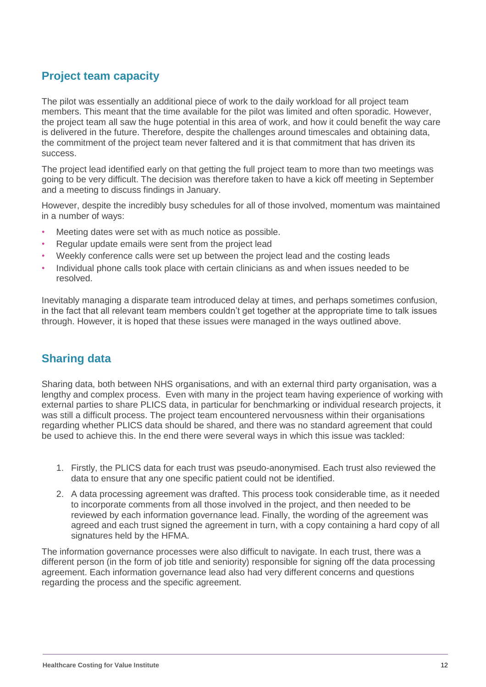#### **Project team capacity**

The pilot was essentially an additional piece of work to the daily workload for all project team members. This meant that the time available for the pilot was limited and often sporadic. However, the project team all saw the huge potential in this area of work, and how it could benefit the way care is delivered in the future. Therefore, despite the challenges around timescales and obtaining data, the commitment of the project team never faltered and it is that commitment that has driven its success.

The project lead identified early on that getting the full project team to more than two meetings was going to be very difficult. The decision was therefore taken to have a kick off meeting in September and a meeting to discuss findings in January.

However, despite the incredibly busy schedules for all of those involved, momentum was maintained in a number of ways:

- Meeting dates were set with as much notice as possible.
- Regular update emails were sent from the project lead
- Weekly conference calls were set up between the project lead and the costing leads
- Individual phone calls took place with certain clinicians as and when issues needed to be resolved.

Inevitably managing a disparate team introduced delay at times, and perhaps sometimes confusion, in the fact that all relevant team members couldn't get together at the appropriate time to talk issues through. However, it is hoped that these issues were managed in the ways outlined above.

#### **Sharing data**

Sharing data, both between NHS organisations, and with an external third party organisation, was a lengthy and complex process. Even with many in the project team having experience of working with external parties to share PLICS data, in particular for benchmarking or individual research projects, it was still a difficult process. The project team encountered nervousness within their organisations regarding whether PLICS data should be shared, and there was no standard agreement that could be used to achieve this. In the end there were several ways in which this issue was tackled:

- 1. Firstly, the PLICS data for each trust was pseudo-anonymised. Each trust also reviewed the data to ensure that any one specific patient could not be identified.
- 2. A data processing agreement was drafted. This process took considerable time, as it needed to incorporate comments from all those involved in the project, and then needed to be reviewed by each information governance lead. Finally, the wording of the agreement was agreed and each trust signed the agreement in turn, with a copy containing a hard copy of all signatures held by the HFMA.

The information governance processes were also difficult to navigate. In each trust, there was a different person (in the form of job title and seniority) responsible for signing off the data processing agreement. Each information governance lead also had very different concerns and questions regarding the process and the specific agreement.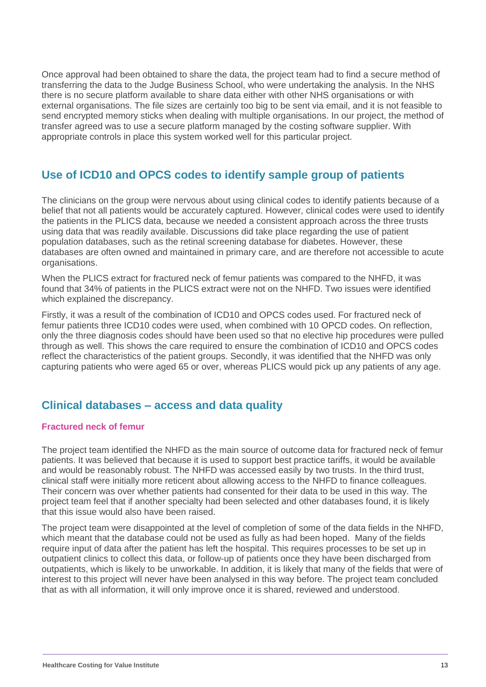Once approval had been obtained to share the data, the project team had to find a secure method of transferring the data to the Judge Business School, who were undertaking the analysis. In the NHS there is no secure platform available to share data either with other NHS organisations or with external organisations. The file sizes are certainly too big to be sent via email, and it is not feasible to send encrypted memory sticks when dealing with multiple organisations. In our project, the method of transfer agreed was to use a secure platform managed by the costing software supplier. With appropriate controls in place this system worked well for this particular project.

#### **Use of ICD10 and OPCS codes to identify sample group of patients**

The clinicians on the group were nervous about using clinical codes to identify patients because of a belief that not all patients would be accurately captured. However, clinical codes were used to identify the patients in the PLICS data, because we needed a consistent approach across the three trusts using data that was readily available. Discussions did take place regarding the use of patient population databases, such as the retinal screening database for diabetes. However, these databases are often owned and maintained in primary care, and are therefore not accessible to acute organisations.

When the PLICS extract for fractured neck of femur patients was compared to the NHFD, it was found that 34% of patients in the PLICS extract were not on the NHFD. Two issues were identified which explained the discrepancy.

Firstly, it was a result of the combination of ICD10 and OPCS codes used. For fractured neck of femur patients three ICD10 codes were used, when combined with 10 OPCD codes. On reflection, only the three diagnosis codes should have been used so that no elective hip procedures were pulled through as well. This shows the care required to ensure the combination of ICD10 and OPCS codes reflect the characteristics of the patient groups. Secondly, it was identified that the NHFD was only capturing patients who were aged 65 or over, whereas PLICS would pick up any patients of any age.

#### **Clinical databases – access and data quality**

#### **Fractured neck of femur**

The project team identified the NHFD as the main source of outcome data for fractured neck of femur patients. It was believed that because it is used to support best practice tariffs, it would be available and would be reasonably robust. The NHFD was accessed easily by two trusts. In the third trust, clinical staff were initially more reticent about allowing access to the NHFD to finance colleagues. Their concern was over whether patients had consented for their data to be used in this way. The project team feel that if another specialty had been selected and other databases found, it is likely that this issue would also have been raised.

The project team were disappointed at the level of completion of some of the data fields in the NHFD, which meant that the database could not be used as fully as had been hoped.Many of the fields require input of data after the patient has left the hospital. This requires processes to be set up in outpatient clinics to collect this data, or follow-up of patients once they have been discharged from outpatients, which is likely to be unworkable. In addition, it is likely that many of the fields that were of interest to this project will never have been analysed in this way before. The project team concluded that as with all information, it will only improve once it is shared, reviewed and understood.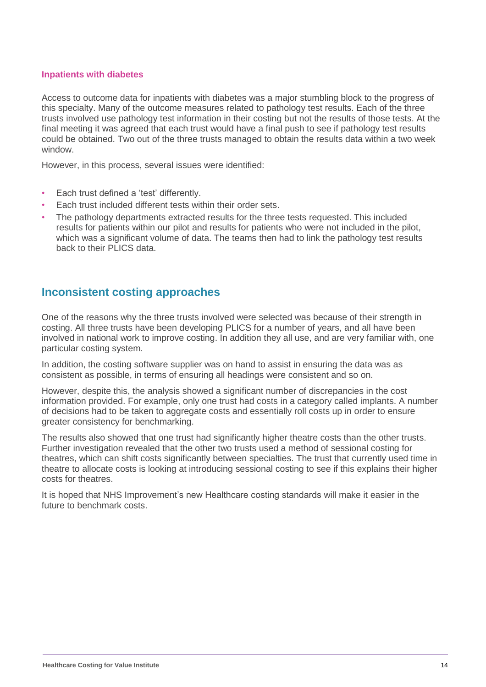#### **Inpatients with diabetes**

Access to outcome data for inpatients with diabetes was a major stumbling block to the progress of this specialty. Many of the outcome measures related to pathology test results. Each of the three trusts involved use pathology test information in their costing but not the results of those tests. At the final meeting it was agreed that each trust would have a final push to see if pathology test results could be obtained. Two out of the three trusts managed to obtain the results data within a two week window.

However, in this process, several issues were identified:

- Each trust defined a 'test' differently.
- Each trust included different tests within their order sets.
- The pathology departments extracted results for the three tests requested. This included results for patients within our pilot and results for patients who were not included in the pilot, which was a significant volume of data. The teams then had to link the pathology test results back to their PLICS data.

#### **Inconsistent costing approaches**

One of the reasons why the three trusts involved were selected was because of their strength in costing. All three trusts have been developing PLICS for a number of years, and all have been involved in national work to improve costing. In addition they all use, and are very familiar with, one particular costing system.

In addition, the costing software supplier was on hand to assist in ensuring the data was as consistent as possible, in terms of ensuring all headings were consistent and so on.

However, despite this, the analysis showed a significant number of discrepancies in the cost information provided. For example, only one trust had costs in a category called implants. A number of decisions had to be taken to aggregate costs and essentially roll costs up in order to ensure greater consistency for benchmarking.

The results also showed that one trust had significantly higher theatre costs than the other trusts. Further investigation revealed that the other two trusts used a method of sessional costing for theatres, which can shift costs significantly between specialties. The trust that currently used time in theatre to allocate costs is looking at introducing sessional costing to see if this explains their higher costs for theatres.

It is hoped that NHS Improvement's new Healthcare costing standards will make it easier in the future to benchmark costs.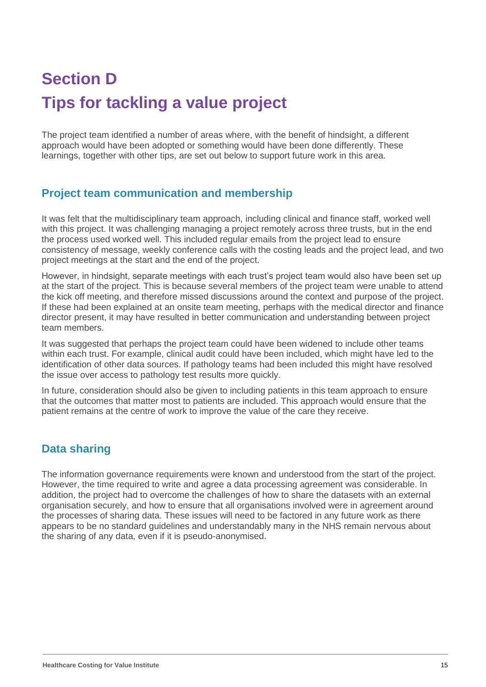# **Section D Tips for tackling a value project**

The project team identified a number of areas where, with the benefit of hindsight, a different approach would have been adopted or something would have been done differently. These learnings, together with other tips, are set out below to support future work in this area.

#### **Project team communication and membership**

It was felt that the multidisciplinary team approach, including clinical and finance staff, worked well with this project. It was challenging managing a project remotely across three trusts, but in the end the process used worked well. This included regular emails from the project lead to ensure consistency of message, weekly conference calls with the costing leads and the project lead, and two project meetings at the start and the end of the project.

However, in hindsight, separate meetings with each trust's project team would also have been set up at the start of the project. This is because several members of the project team were unable to attend the kick off meeting, and therefore missed discussions around the context and purpose of the project. If these had been explained at an onsite team meeting, perhaps with the medical director and finance director present, it may have resulted in better communication and understanding between project team members.

It was suggested that perhaps the project team could have been widened to include other teams within each trust. For example, clinical audit could have been included, which might have led to the identification of other data sources. If pathology teams had been included this might have resolved the issue over access to pathology test results more quickly.

In future, consideration should also be given to including patients in this team approach to ensure that the outcomes that matter most to patients are included. This approach would ensure that the patient remains at the centre of work to improve the value of the care they receive.

#### **Data sharing**

The information governance requirements were known and understood from the start of the project. However, the time required to write and agree a data processing agreement was considerable. In addition, the project had to overcome the challenges of how to share the datasets with an external organisation securely, and how to ensure that all organisations involved were in agreement around the processes of sharing data. These issues will need to be factored in any future work as there appears to be no standard guidelines and understandably many in the NHS remain nervous about the sharing of any data, even if it is pseudo-anonymised.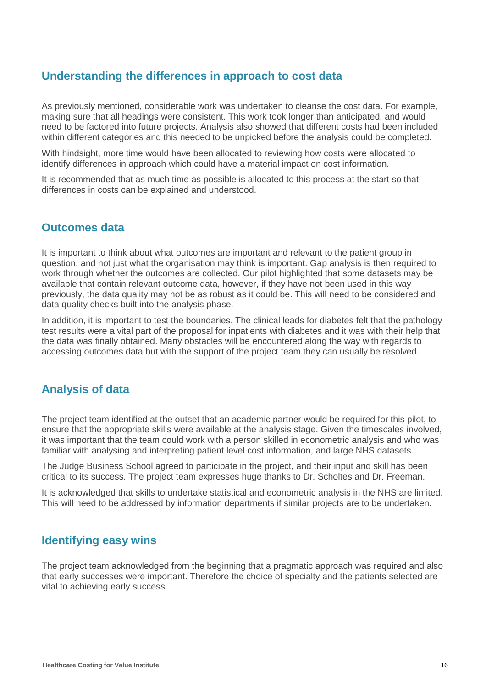#### **Understanding the differences in approach to cost data**

As previously mentioned, considerable work was undertaken to cleanse the cost data. For example, making sure that all headings were consistent. This work took longer than anticipated, and would need to be factored into future projects. Analysis also showed that different costs had been included within different categories and this needed to be unpicked before the analysis could be completed.

With hindsight, more time would have been allocated to reviewing how costs were allocated to identify differences in approach which could have a material impact on cost information.

It is recommended that as much time as possible is allocated to this process at the start so that differences in costs can be explained and understood.

#### **Outcomes data**

It is important to think about what outcomes are important and relevant to the patient group in question, and not just what the organisation may think is important. Gap analysis is then required to work through whether the outcomes are collected. Our pilot highlighted that some datasets may be available that contain relevant outcome data, however, if they have not been used in this way previously, the data quality may not be as robust as it could be. This will need to be considered and data quality checks built into the analysis phase.

In addition, it is important to test the boundaries. The clinical leads for diabetes felt that the pathology test results were a vital part of the proposal for inpatients with diabetes and it was with their help that the data was finally obtained. Many obstacles will be encountered along the way with regards to accessing outcomes data but with the support of the project team they can usually be resolved.

#### **Analysis of data**

The project team identified at the outset that an academic partner would be required for this pilot, to ensure that the appropriate skills were available at the analysis stage. Given the timescales involved, it was important that the team could work with a person skilled in econometric analysis and who was familiar with analysing and interpreting patient level cost information, and large NHS datasets.

The Judge Business School agreed to participate in the project, and their input and skill has been critical to its success. The project team expresses huge thanks to Dr. Scholtes and Dr. Freeman.

It is acknowledged that skills to undertake statistical and econometric analysis in the NHS are limited. This will need to be addressed by information departments if similar projects are to be undertaken.

#### **Identifying easy wins**

The project team acknowledged from the beginning that a pragmatic approach was required and also that early successes were important. Therefore the choice of specialty and the patients selected are vital to achieving early success.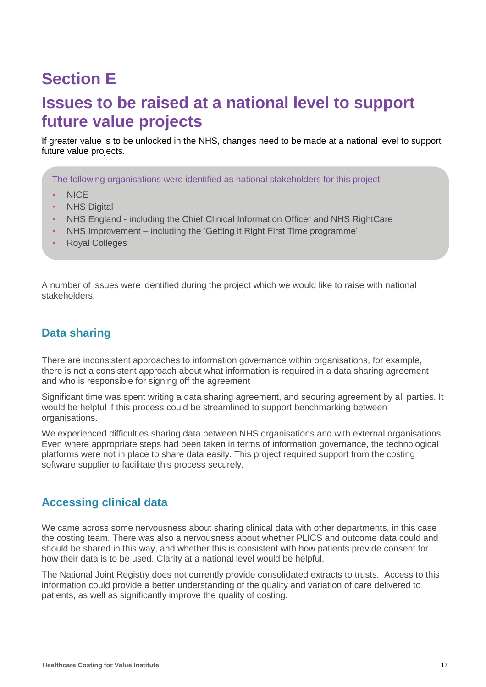### **Section F**

### **Issues to be raised at a national level to support future value projects**

If greater value is to be unlocked in the NHS, changes need to be made at a national level to support future value projects.

The following organisations were identified as national stakeholders for this project:

- NICE
- NHS Digital
- NHS England including the Chief Clinical Information Officer and NHS RightCare
- NHS Improvement including the 'Getting it Right First Time programme'
- Royal Colleges

A number of issues were identified during the project which we would like to raise with national stakeholders.

#### **Data sharing**

There are inconsistent approaches to information governance within organisations, for example, there is not a consistent approach about what information is required in a data sharing agreement and who is responsible for signing off the agreement

Significant time was spent writing a data sharing agreement, and securing agreement by all parties. It would be helpful if this process could be streamlined to support benchmarking between organisations.

We experienced difficulties sharing data between NHS organisations and with external organisations. Even where appropriate steps had been taken in terms of information governance, the technological platforms were not in place to share data easily. This project required support from the costing software supplier to facilitate this process securely.

#### **Accessing clinical data**

We came across some nervousness about sharing clinical data with other departments, in this case the costing team. There was also a nervousness about whether PLICS and outcome data could and should be shared in this way, and whether this is consistent with how patients provide consent for how their data is to be used. Clarity at a national level would be helpful.

The National Joint Registry does not currently provide consolidated extracts to trusts. Access to this information could provide a better understanding of the quality and variation of care delivered to patients, as well as significantly improve the quality of costing.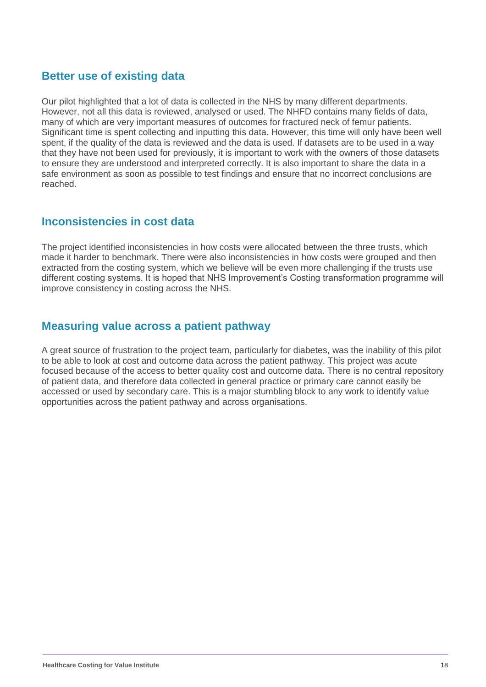#### **Better use of existing data**

Our pilot highlighted that a lot of data is collected in the NHS by many different departments. However, not all this data is reviewed, analysed or used. The NHFD contains many fields of data, many of which are very important measures of outcomes for fractured neck of femur patients. Significant time is spent collecting and inputting this data. However, this time will only have been well spent, if the quality of the data is reviewed and the data is used. If datasets are to be used in a way that they have not been used for previously, it is important to work with the owners of those datasets to ensure they are understood and interpreted correctly. It is also important to share the data in a safe environment as soon as possible to test findings and ensure that no incorrect conclusions are reached.

#### **Inconsistencies in cost data**

The project identified inconsistencies in how costs were allocated between the three trusts, which made it harder to benchmark. There were also inconsistencies in how costs were grouped and then extracted from the costing system, which we believe will be even more challenging if the trusts use different costing systems. It is hoped that NHS Improvement's Costing transformation programme will improve consistency in costing across the NHS.

#### **Measuring value across a patient pathway**

A great source of frustration to the project team, particularly for diabetes, was the inability of this pilot to be able to look at cost and outcome data across the patient pathway. This project was acute focused because of the access to better quality cost and outcome data. There is no central repository of patient data, and therefore data collected in general practice or primary care cannot easily be accessed or used by secondary care. This is a major stumbling block to any work to identify value opportunities across the patient pathway and across organisations.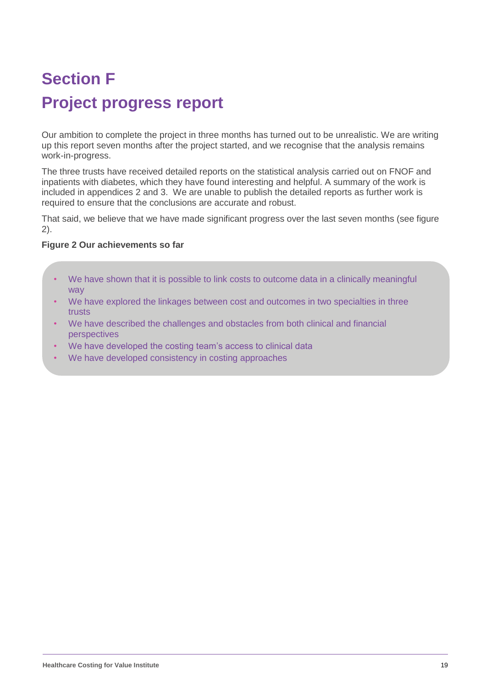# **Section F Project progress report**

Our ambition to complete the project in three months has turned out to be unrealistic. We are writing up this report seven months after the project started, and we recognise that the analysis remains work-in-progress.

The three trusts have received detailed reports on the statistical analysis carried out on FNOF and inpatients with diabetes, which they have found interesting and helpful. A summary of the work is included in appendices 2 and 3. We are unable to publish the detailed reports as further work is required to ensure that the conclusions are accurate and robust.

That said, we believe that we have made significant progress over the last seven months (see figure 2).

#### **Figure 2 Our achievements so far**

- We have shown that it is possible to link costs to outcome data in a clinically meaningful way
- We have explored the linkages between cost and outcomes in two specialties in three trusts
- We have described the challenges and obstacles from both clinical and financial perspectives
- We have developed the costing team's access to clinical data
- We have developed consistency in costing approaches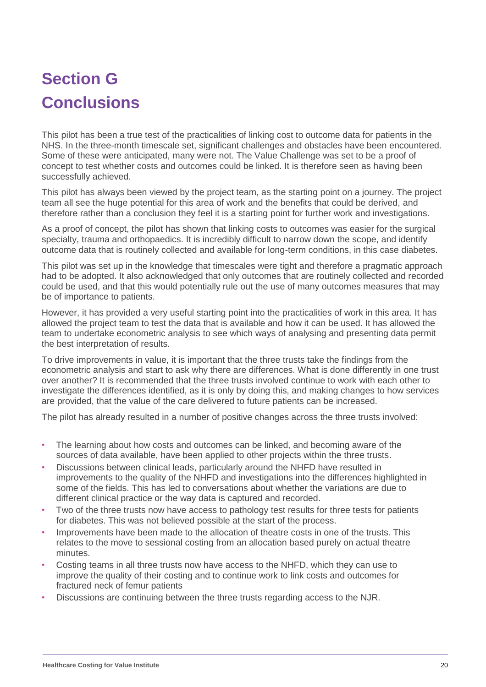## **Section G Conclusions**

This pilot has been a true test of the practicalities of linking cost to outcome data for patients in the NHS. In the three-month timescale set, significant challenges and obstacles have been encountered. Some of these were anticipated, many were not. The Value Challenge was set to be a proof of concept to test whether costs and outcomes could be linked. It is therefore seen as having been successfully achieved.

This pilot has always been viewed by the project team, as the starting point on a journey. The project team all see the huge potential for this area of work and the benefits that could be derived, and therefore rather than a conclusion they feel it is a starting point for further work and investigations.

As a proof of concept, the pilot has shown that linking costs to outcomes was easier for the surgical specialty, trauma and orthopaedics. It is incredibly difficult to narrow down the scope, and identify outcome data that is routinely collected and available for long-term conditions, in this case diabetes.

This pilot was set up in the knowledge that timescales were tight and therefore a pragmatic approach had to be adopted. It also acknowledged that only outcomes that are routinely collected and recorded could be used, and that this would potentially rule out the use of many outcomes measures that may be of importance to patients.

However, it has provided a very useful starting point into the practicalities of work in this area. It has allowed the project team to test the data that is available and how it can be used. It has allowed the team to undertake econometric analysis to see which ways of analysing and presenting data permit the best interpretation of results.

To drive improvements in value, it is important that the three trusts take the findings from the econometric analysis and start to ask why there are differences. What is done differently in one trust over another? It is recommended that the three trusts involved continue to work with each other to investigate the differences identified, as it is only by doing this, and making changes to how services are provided, that the value of the care delivered to future patients can be increased.

The pilot has already resulted in a number of positive changes across the three trusts involved:

- The learning about how costs and outcomes can be linked, and becoming aware of the sources of data available, have been applied to other projects within the three trusts.
- Discussions between clinical leads, particularly around the NHFD have resulted in improvements to the quality of the NHFD and investigations into the differences highlighted in some of the fields. This has led to conversations about whether the variations are due to different clinical practice or the way data is captured and recorded.
- Two of the three trusts now have access to pathology test results for three tests for patients for diabetes. This was not believed possible at the start of the process.
- Improvements have been made to the allocation of theatre costs in one of the trusts. This relates to the move to sessional costing from an allocation based purely on actual theatre minutes.
- Costing teams in all three trusts now have access to the NHFD, which they can use to improve the quality of their costing and to continue work to link costs and outcomes for fractured neck of femur patients
- Discussions are continuing between the three trusts regarding access to the NJR.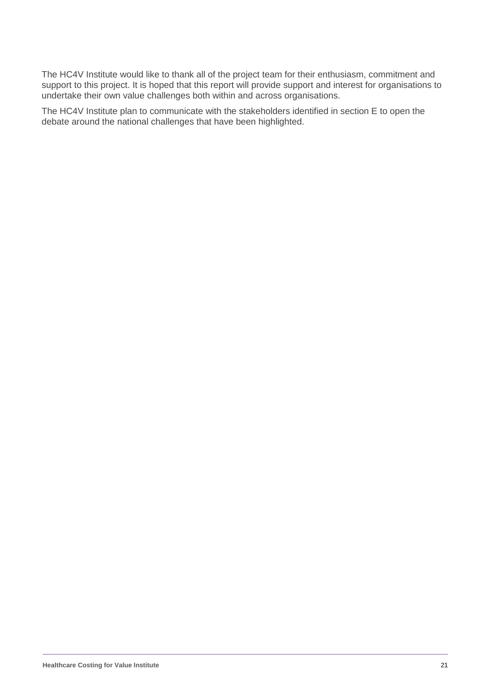The HC4V Institute would like to thank all of the project team for their enthusiasm, commitment and support to this project. It is hoped that this report will provide support and interest for organisations to undertake their own value challenges both within and across organisations.

The HC4V Institute plan to communicate with the stakeholders identified in section E to open the debate around the national challenges that have been highlighted.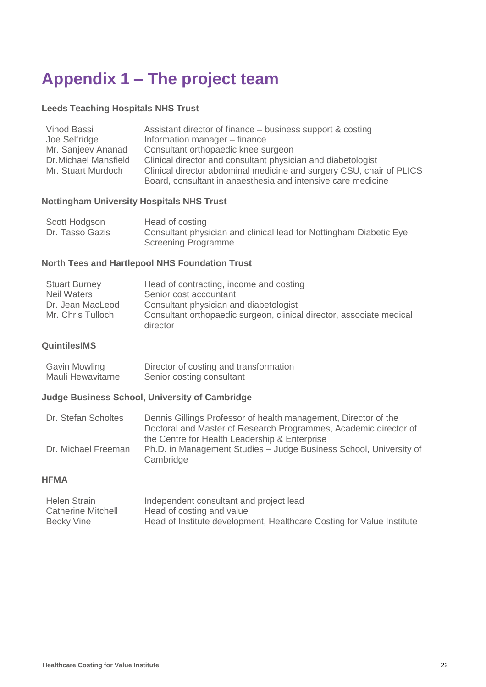### **Appendix 1 – The project team**

#### **Leeds Teaching Hospitals NHS Trust**

| Vinod Bassi                 | Assistant director of finance – business support & costing           |
|-----------------------------|----------------------------------------------------------------------|
| Joe Selfridge               | Information manager - finance                                        |
| Mr. Sanjeev Ananad          | Consultant orthopaedic knee surgeon                                  |
| <b>Dr.Michael Mansfield</b> | Clinical director and consultant physician and diabetologist         |
| Mr. Stuart Murdoch          | Clinical director abdominal medicine and surgery CSU, chair of PLICS |
|                             | Board, consultant in anaesthesia and intensive care medicine         |

#### **Nottingham University Hospitals NHS Trust**

| Scott Hodgson   | Head of costing                                                    |
|-----------------|--------------------------------------------------------------------|
| Dr. Tasso Gazis | Consultant physician and clinical lead for Nottingham Diabetic Eye |
|                 | Screening Programme                                                |

#### **North Tees and Hartlepool NHS Foundation Trust**

| <b>Stuart Burney</b> | Head of contracting, income and costing                              |
|----------------------|----------------------------------------------------------------------|
| Neil Waters          | Senior cost accountant                                               |
| Dr. Jean MacLeod     | Consultant physician and diabetologist                               |
| Mr. Chris Tulloch    | Consultant orthopaedic surgeon, clinical director, associate medical |
|                      | director                                                             |

#### **QuintilesIMS**

| Gavin Mowling     | Director of costing and transformation |
|-------------------|----------------------------------------|
| Mauli Hewavitarne | Senior costing consultant              |

#### **Judge Business School, University of Cambridge**

| Dr. Stefan Scholtes | Dennis Gillings Professor of health management, Director of the    |
|---------------------|--------------------------------------------------------------------|
|                     | Doctoral and Master of Research Programmes, Academic director of   |
|                     | the Centre for Health Leadership & Enterprise                      |
| Dr. Michael Freeman | Ph.D. in Management Studies - Judge Business School, University of |
|                     | Cambridge                                                          |

#### **HFMA**

| <b>Helen Strain</b>       | Independent consultant and project lead                               |
|---------------------------|-----------------------------------------------------------------------|
| <b>Catherine Mitchell</b> | Head of costing and value                                             |
| Becky Vine                | Head of Institute development, Healthcare Costing for Value Institute |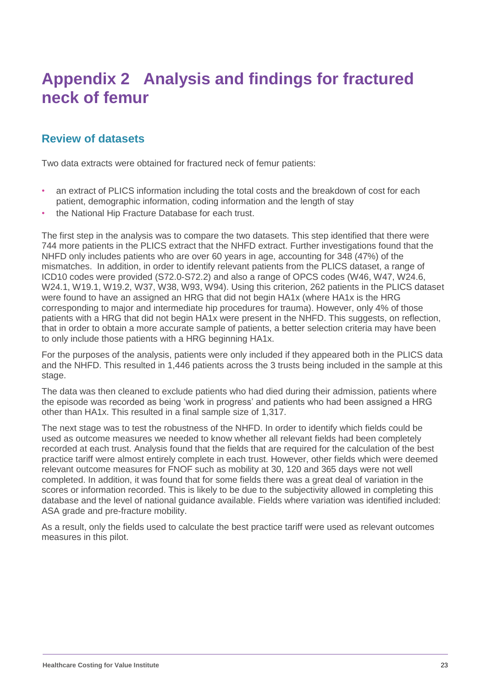### **Appendix 2 Analysis and findings for fractured neck of femur**

#### **Review of datasets**

Two data extracts were obtained for fractured neck of femur patients:

- an extract of PLICS information including the total costs and the breakdown of cost for each patient, demographic information, coding information and the length of stay
- the National Hip Fracture Database for each trust.

The first step in the analysis was to compare the two datasets. This step identified that there were 744 more patients in the PLICS extract that the NHFD extract. Further investigations found that the NHFD only includes patients who are over 60 years in age, accounting for 348 (47%) of the mismatches. In addition, in order to identify relevant patients from the PLICS dataset, a range of ICD10 codes were provided (S72.0-S72.2) and also a range of OPCS codes (W46, W47, W24.6, W24.1, W19.1, W19.2, W37, W38, W93, W94). Using this criterion, 262 patients in the PLICS dataset were found to have an assigned an HRG that did not begin HA1x (where HA1x is the HRG corresponding to major and intermediate hip procedures for trauma). However, only 4% of those patients with a HRG that did not begin HA1x were present in the NHFD. This suggests, on reflection, that in order to obtain a more accurate sample of patients, a better selection criteria may have been to only include those patients with a HRG beginning HA1x.

For the purposes of the analysis, patients were only included if they appeared both in the PLICS data and the NHFD. This resulted in 1,446 patients across the 3 trusts being included in the sample at this stage.

The data was then cleaned to exclude patients who had died during their admission, patients where the episode was recorded as being 'work in progress' and patients who had been assigned a HRG other than HA1x. This resulted in a final sample size of 1,317.

The next stage was to test the robustness of the NHFD. In order to identify which fields could be used as outcome measures we needed to know whether all relevant fields had been completely recorded at each trust. Analysis found that the fields that are required for the calculation of the best practice tariff were almost entirely complete in each trust. However, other fields which were deemed relevant outcome measures for FNOF such as mobility at 30, 120 and 365 days were not well completed. In addition, it was found that for some fields there was a great deal of variation in the scores or information recorded. This is likely to be due to the subjectivity allowed in completing this database and the level of national guidance available. Fields where variation was identified included: ASA grade and pre-fracture mobility.

As a result, only the fields used to calculate the best practice tariff were used as relevant outcomes measures in this pilot.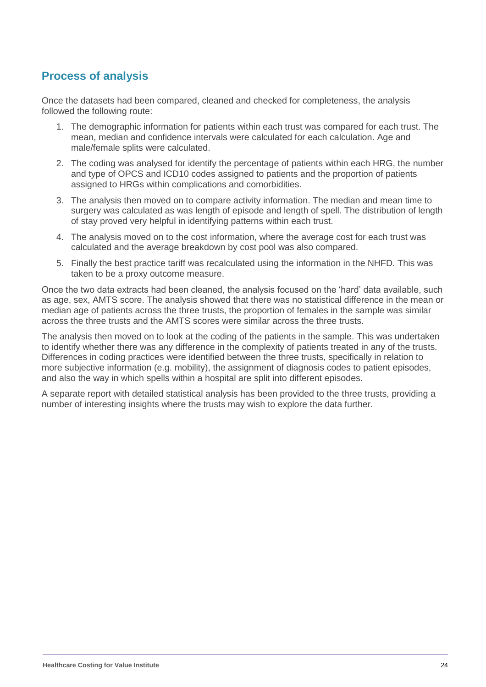#### **Process of analysis**

Once the datasets had been compared, cleaned and checked for completeness, the analysis followed the following route:

- 1. The demographic information for patients within each trust was compared for each trust. The mean, median and confidence intervals were calculated for each calculation. Age and male/female splits were calculated.
- 2. The coding was analysed for identify the percentage of patients within each HRG, the number and type of OPCS and ICD10 codes assigned to patients and the proportion of patients assigned to HRGs within complications and comorbidities.
- 3. The analysis then moved on to compare activity information. The median and mean time to surgery was calculated as was length of episode and length of spell. The distribution of length of stay proved very helpful in identifying patterns within each trust.
- 4. The analysis moved on to the cost information, where the average cost for each trust was calculated and the average breakdown by cost pool was also compared.
- 5. Finally the best practice tariff was recalculated using the information in the NHFD. This was taken to be a proxy outcome measure.

Once the two data extracts had been cleaned, the analysis focused on the 'hard' data available, such as age, sex, AMTS score. The analysis showed that there was no statistical difference in the mean or median age of patients across the three trusts, the proportion of females in the sample was similar across the three trusts and the AMTS scores were similar across the three trusts.

The analysis then moved on to look at the coding of the patients in the sample. This was undertaken to identify whether there was any difference in the complexity of patients treated in any of the trusts. Differences in coding practices were identified between the three trusts, specifically in relation to more subjective information (e.g. mobility), the assignment of diagnosis codes to patient episodes, and also the way in which spells within a hospital are split into different episodes.

A separate report with detailed statistical analysis has been provided to the three trusts, providing a number of interesting insights where the trusts may wish to explore the data further.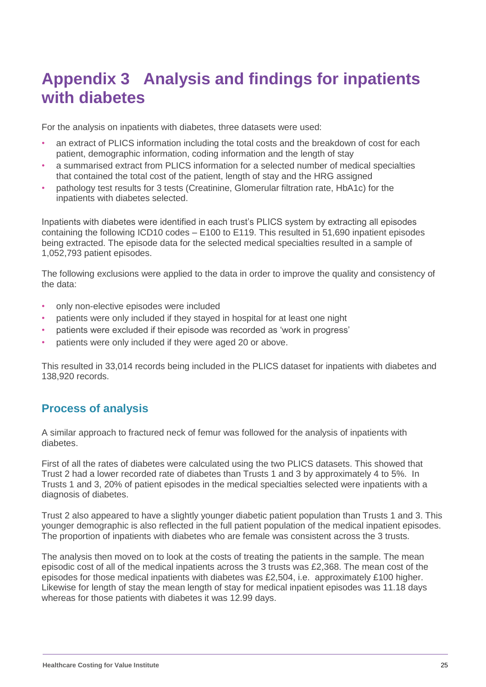### **Appendix 3 Analysis and findings for inpatients with diabetes**

For the analysis on inpatients with diabetes, three datasets were used:

- an extract of PLICS information including the total costs and the breakdown of cost for each patient, demographic information, coding information and the length of stay
- a summarised extract from PLICS information for a selected number of medical specialties that contained the total cost of the patient, length of stay and the HRG assigned
- pathology test results for 3 tests (Creatinine, Glomerular filtration rate, HbA1c) for the inpatients with diabetes selected.

Inpatients with diabetes were identified in each trust's PLICS system by extracting all episodes containing the following ICD10 codes – E100 to E119. This resulted in 51,690 inpatient episodes being extracted. The episode data for the selected medical specialties resulted in a sample of 1,052,793 patient episodes.

The following exclusions were applied to the data in order to improve the quality and consistency of the data:

- only non-elective episodes were included
- patients were only included if they stayed in hospital for at least one night
- patients were excluded if their episode was recorded as 'work in progress'
- patients were only included if they were aged 20 or above.

This resulted in 33,014 records being included in the PLICS dataset for inpatients with diabetes and 138,920 records.

#### **Process of analysis**

A similar approach to fractured neck of femur was followed for the analysis of inpatients with diabetes.

First of all the rates of diabetes were calculated using the two PLICS datasets. This showed that Trust 2 had a lower recorded rate of diabetes than Trusts 1 and 3 by approximately 4 to 5%. In Trusts 1 and 3, 20% of patient episodes in the medical specialties selected were inpatients with a diagnosis of diabetes.

Trust 2 also appeared to have a slightly younger diabetic patient population than Trusts 1 and 3. This younger demographic is also reflected in the full patient population of the medical inpatient episodes. The proportion of inpatients with diabetes who are female was consistent across the 3 trusts.

The analysis then moved on to look at the costs of treating the patients in the sample. The mean episodic cost of all of the medical inpatients across the 3 trusts was £2,368. The mean cost of the episodes for those medical inpatients with diabetes was £2,504, i.e. approximately £100 higher. Likewise for length of stay the mean length of stay for medical inpatient episodes was 11.18 days whereas for those patients with diabetes it was 12.99 days.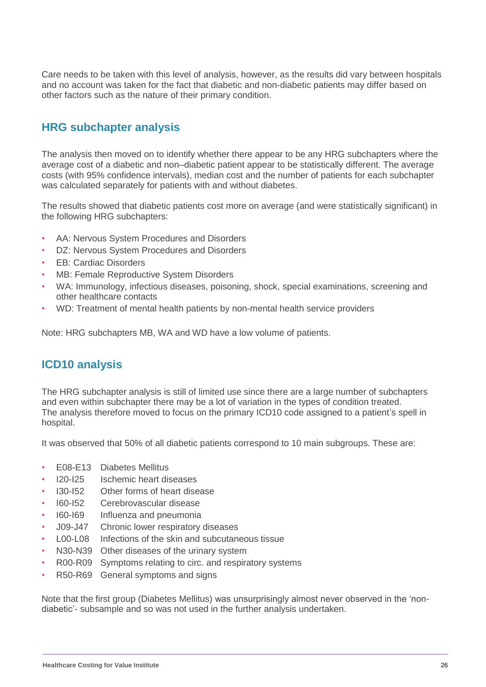Care needs to be taken with this level of analysis, however, as the results did vary between hospitals and no account was taken for the fact that diabetic and non-diabetic patients may differ based on other factors such as the nature of their primary condition.

#### **HRG subchapter analysis**

The analysis then moved on to identify whether there appear to be any HRG subchapters where the average cost of a diabetic and non–diabetic patient appear to be statistically different. The average costs (with 95% confidence intervals), median cost and the number of patients for each subchapter was calculated separately for patients with and without diabetes.

The results showed that diabetic patients cost more on average (and were statistically significant) in the following HRG subchapters:

- AA: Nervous System Procedures and Disorders
- DZ: Nervous System Procedures and Disorders
- EB: Cardiac Disorders
- MB: Female Reproductive System Disorders
- WA: Immunology, infectious diseases, poisoning, shock, special examinations, screening and other healthcare contacts
- WD: Treatment of mental health patients by non-mental health service providers

Note: HRG subchapters MB, WA and WD have a low volume of patients.

#### **ICD10 analysis**

The HRG subchapter analysis is still of limited use since there are a large number of subchapters and even within subchapter there may be a lot of variation in the types of condition treated. The analysis therefore moved to focus on the primary ICD10 code assigned to a patient's spell in hospital.

It was observed that 50% of all diabetic patients correspond to 10 main subgroups. These are:

- E08-E13 Diabetes Mellitus
- I20-I25 Ischemic heart diseases
- I30-I52 Other forms of heart disease
- I60-I52 Cerebrovascular disease
- I60-I69 Influenza and pneumonia
- J09-J47 Chronic lower respiratory diseases
- L00-L08 Infections of the skin and subcutaneous tissue
- N30-N39 Other diseases of the urinary system
- R00-R09 Symptoms relating to circ. and respiratory systems
- R50-R69 General symptoms and signs

Note that the first group (Diabetes Mellitus) was unsurprisingly almost never observed in the 'nondiabetic'- subsample and so was not used in the further analysis undertaken.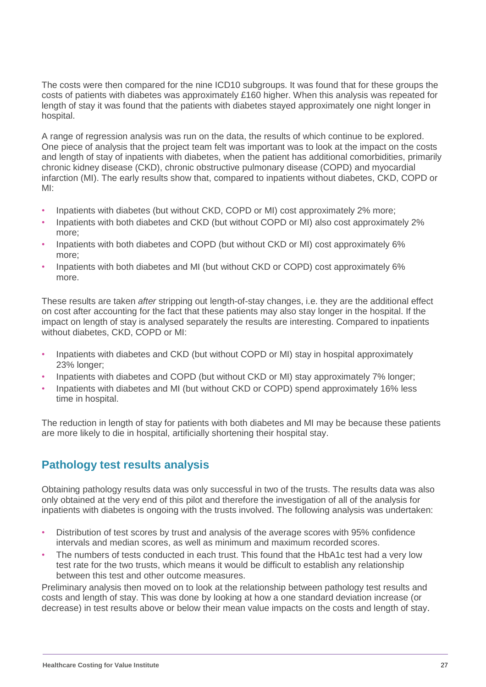The costs were then compared for the nine ICD10 subgroups. It was found that for these groups the costs of patients with diabetes was approximately £160 higher. When this analysis was repeated for length of stay it was found that the patients with diabetes stayed approximately one night longer in hospital.

A range of regression analysis was run on the data, the results of which continue to be explored. One piece of analysis that the project team felt was important was to look at the impact on the costs and length of stay of inpatients with diabetes, when the patient has additional comorbidities, primarily chronic kidney disease (CKD), chronic obstructive pulmonary disease (COPD) and myocardial infarction (MI). The early results show that, compared to inpatients without diabetes, CKD, COPD or MI:

- Inpatients with diabetes (but without CKD, COPD or MI) cost approximately 2% more;
- Inpatients with both diabetes and CKD (but without COPD or MI) also cost approximately 2% more;
- Inpatients with both diabetes and COPD (but without CKD or MI) cost approximately 6% more;
- Inpatients with both diabetes and MI (but without CKD or COPD) cost approximately 6% more.

These results are taken *after* stripping out length-of-stay changes, i.e. they are the additional effect on cost after accounting for the fact that these patients may also stay longer in the hospital. If the impact on length of stay is analysed separately the results are interesting. Compared to inpatients without diabetes, CKD, COPD or MI:

- Inpatients with diabetes and CKD (but without COPD or MI) stay in hospital approximately 23% longer;
- Inpatients with diabetes and COPD (but without CKD or MI) stay approximately 7% longer;
- Inpatients with diabetes and MI (but without CKD or COPD) spend approximately 16% less time in hospital.

The reduction in length of stay for patients with both diabetes and MI may be because these patients are more likely to die in hospital, artificially shortening their hospital stay.

#### **Pathology test results analysis**

Obtaining pathology results data was only successful in two of the trusts. The results data was also only obtained at the very end of this pilot and therefore the investigation of all of the analysis for inpatients with diabetes is ongoing with the trusts involved. The following analysis was undertaken:

- Distribution of test scores by trust and analysis of the average scores with 95% confidence intervals and median scores, as well as minimum and maximum recorded scores.
- The numbers of tests conducted in each trust. This found that the HbA1c test had a very low test rate for the two trusts, which means it would be difficult to establish any relationship between this test and other outcome measures.

Preliminary analysis then moved on to look at the relationship between pathology test results and costs and length of stay. This was done by looking at how a one standard deviation increase (or decrease) in test results above or below their mean value impacts on the costs and length of stay.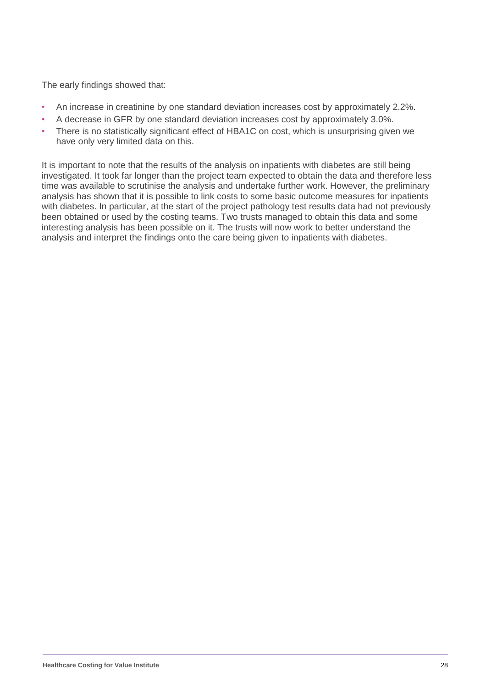The early findings showed that:

- An increase in creatinine by one standard deviation increases cost by approximately 2.2%.
- A decrease in GFR by one standard deviation increases cost by approximately 3.0%.
- There is no statistically significant effect of HBA1C on cost, which is unsurprising given we have only very limited data on this.

It is important to note that the results of the analysis on inpatients with diabetes are still being investigated. It took far longer than the project team expected to obtain the data and therefore less time was available to scrutinise the analysis and undertake further work. However, the preliminary analysis has shown that it is possible to link costs to some basic outcome measures for inpatients with diabetes. In particular, at the start of the project pathology test results data had not previously been obtained or used by the costing teams. Two trusts managed to obtain this data and some interesting analysis has been possible on it. The trusts will now work to better understand the analysis and interpret the findings onto the care being given to inpatients with diabetes.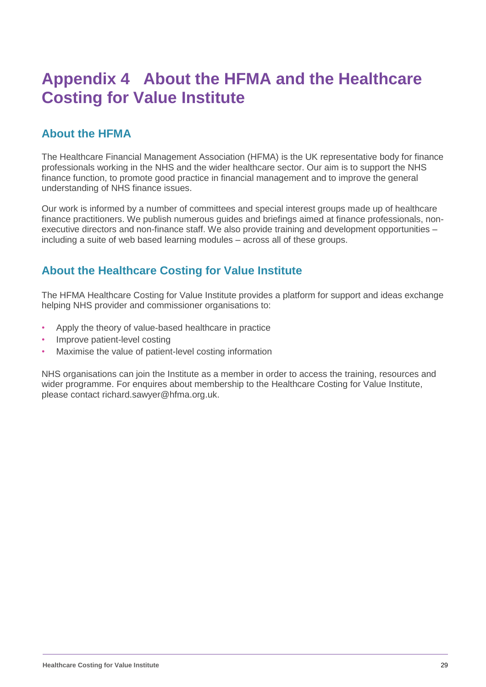### **Appendix 4 About the HFMA and the Healthcare Costing for Value Institute**

#### **About the HFMA**

The Healthcare Financial Management Association (HFMA) is the UK representative body for finance professionals working in the NHS and the wider healthcare sector. Our aim is to support the NHS finance function, to promote good practice in financial management and to improve the general understanding of NHS finance issues.

Our work is informed by a number of committees and special interest groups made up of healthcare finance practitioners. We publish numerous guides and briefings aimed at finance professionals, nonexecutive directors and non-finance staff. We also provide training and development opportunities – including a suite of web based learning modules – across all of these groups.

#### **About the Healthcare Costing for Value Institute**

The HFMA Healthcare Costing for Value Institute provides a platform for support and ideas exchange helping NHS provider and commissioner organisations to:

- Apply the theory of value-based healthcare in practice
- Improve patient-level costing
- Maximise the value of patient-level costing information

NHS organisations can join the Institute as a member in order to access the training, resources and wider programme. For enquires about membership to the Healthcare Costing for Value Institute, please contact [richard.sawyer@hfma.org.uk.](mailto:richard.sawyer@hfma.org.uk)